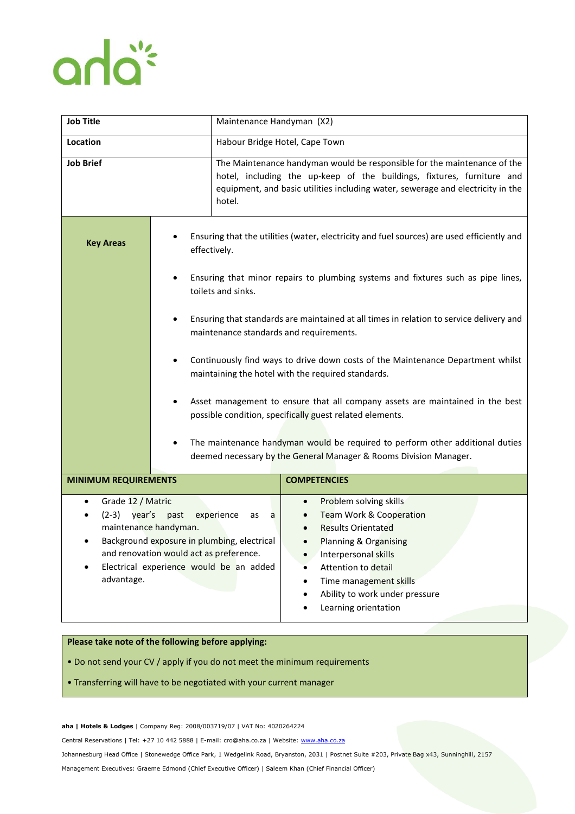## anlaï

| <b>Job Title</b>                                                                                                                                                                                                                                           |                                                                                                                                                                                                                                                                                                                                                                                                                                                                                                                                                                                                                                                                                                                                                  | Maintenance Handyman (X2)      |                                                                                                                                                                                                                                                                                                             |
|------------------------------------------------------------------------------------------------------------------------------------------------------------------------------------------------------------------------------------------------------------|--------------------------------------------------------------------------------------------------------------------------------------------------------------------------------------------------------------------------------------------------------------------------------------------------------------------------------------------------------------------------------------------------------------------------------------------------------------------------------------------------------------------------------------------------------------------------------------------------------------------------------------------------------------------------------------------------------------------------------------------------|--------------------------------|-------------------------------------------------------------------------------------------------------------------------------------------------------------------------------------------------------------------------------------------------------------------------------------------------------------|
| <b>Location</b>                                                                                                                                                                                                                                            |                                                                                                                                                                                                                                                                                                                                                                                                                                                                                                                                                                                                                                                                                                                                                  | Habour Bridge Hotel, Cape Town |                                                                                                                                                                                                                                                                                                             |
| <b>Job Brief</b>                                                                                                                                                                                                                                           | hotel.                                                                                                                                                                                                                                                                                                                                                                                                                                                                                                                                                                                                                                                                                                                                           |                                | The Maintenance handyman would be responsible for the maintenance of the<br>hotel, including the up-keep of the buildings, fixtures, furniture and<br>equipment, and basic utilities including water, sewerage and electricity in the                                                                       |
| <b>Key Areas</b>                                                                                                                                                                                                                                           | Ensuring that the utilities (water, electricity and fuel sources) are used efficiently and<br>effectively.<br>Ensuring that minor repairs to plumbing systems and fixtures such as pipe lines,<br>toilets and sinks.<br>Ensuring that standards are maintained at all times in relation to service delivery and<br>٠<br>maintenance standards and requirements.<br>Continuously find ways to drive down costs of the Maintenance Department whilst<br>٠<br>maintaining the hotel with the required standards.<br>Asset management to ensure that all company assets are maintained in the best<br>possible condition, specifically guest related elements.<br>The maintenance handyman would be required to perform other additional duties<br>٠ |                                |                                                                                                                                                                                                                                                                                                             |
|                                                                                                                                                                                                                                                            | deemed necessary by the General Manager & Rooms Division Manager.                                                                                                                                                                                                                                                                                                                                                                                                                                                                                                                                                                                                                                                                                |                                |                                                                                                                                                                                                                                                                                                             |
| <b>MINIMUM REQUIREMENTS</b>                                                                                                                                                                                                                                |                                                                                                                                                                                                                                                                                                                                                                                                                                                                                                                                                                                                                                                                                                                                                  |                                | <b>COMPETENCIES</b>                                                                                                                                                                                                                                                                                         |
| Grade 12 / Matric<br>٠<br>$(2-3)$ year's<br>past<br>experience<br>as<br>a<br>maintenance handyman.<br>Background exposure in plumbing, electrical<br>٠<br>and renovation would act as preference.<br>Electrical experience would be an added<br>advantage. |                                                                                                                                                                                                                                                                                                                                                                                                                                                                                                                                                                                                                                                                                                                                                  |                                | Problem solving skills<br>$\bullet$<br>Team Work & Cooperation<br><b>Results Orientated</b><br>Planning & Organising<br>$\bullet$<br>Interpersonal skills<br>$\bullet$<br>Attention to detail<br>Time management skills<br>$\bullet$<br>Ability to work under pressure<br>$\bullet$<br>Learning orientation |

## **Please take note of the following before applying:**

• Do not send your CV / apply if you do not meet the minimum requirements

• Transferring will have to be negotiated with your current manager

**aha | Hotels & Lodges** | Company Reg: 2008/003719/07 | VAT No: 4020264224

Central Reservations | Tel: +27 10 442 5888 | E-mail: cro@aha.co.za | Website[: www.aha.co.za](http://www.aha.co.za/)

Johannesburg Head Office | Stonewedge Office Park, 1 Wedgelink Road, Bryanston, 2031 | Postnet Suite #203, Private Bag x43, Sunninghill, 2157

Management Executives: Graeme Edmond (Chief Executive Officer) | Saleem Khan (Chief Financial Officer)